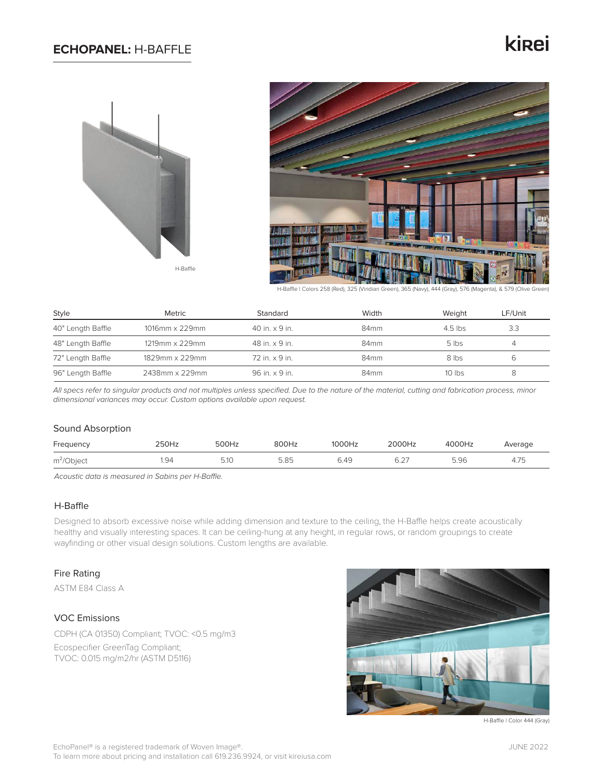## **ECHOPANEL:** H-BAFFLE

# kinei





H-Baffle | Colors 258 (Red), 325 (Viridian Green), 365 (Navy), 444 (Gray), 576 (Magenta), & 579 (Olive Green)

| Style             | Metric         | Standard                | Width            | Weight    | LF/Unit |
|-------------------|----------------|-------------------------|------------------|-----------|---------|
| 40" Length Baffle | 1016mm x 229mm | $40$ in. $\times$ 9 in. | 84 <sub>mm</sub> | $4.5$ lbs | 3.3     |
| 48" Length Baffle | 1219mm x 229mm | 48 in. x 9 in.          | 84 <sub>mm</sub> | $5$ lbs   |         |
| 72" Length Baffle | 1829mm x 229mm | 72 in. x 9 in.          | 84 <sub>mm</sub> | 8 lbs     | b       |
| 96" Length Baffle | 2438mm x 229mm | 96 in. x 9 in.          | 84 <sub>mm</sub> | $10$ lbs  | 8       |

*All specs refer to singular products and not multiples unless specified. Due to the nature of the material, cutting and fabrication process, minor dimensional variances may occur. Custom options available upon request.*

#### Sound Absorption

| Frequency     | 250Hz | 500Hz | 800Hz | 1000Hz | 2000Hz | 4000Hz | Average |
|---------------|-------|-------|-------|--------|--------|--------|---------|
| $m^2$ /Object | 94،،  | 5.10  | 5.85  | 6.49   | 6.27   | 5.96   | 4.75    |

*Acoustic data is measured in Sabins per H-Baffle.*

## H-Baffle

Designed to absorb excessive noise while adding dimension and texture to the ceiling, the H-Baffle helps create acoustically healthy and visually interesting spaces. It can be ceiling-hung at any height, in regular rows, or random groupings to create wayfinding or other visual design solutions. Custom lengths are available.

#### Fire Rating

ASTM E84 Class A

### VOC Emissions

CDPH (CA 01350) Compliant; TVOC: <0.5 mg/m3

Ecospecifier GreenTag Compliant; TVOC: 0.015 mg/m2/hr (ASTM D5116)



H-Baffle | Color 444 (Gray)